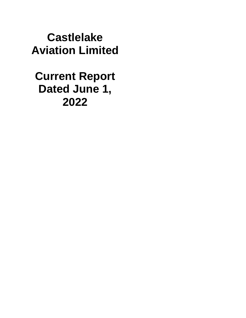**Castlelake Aviation Limited**

**Current Report Dated June 1, 2022**